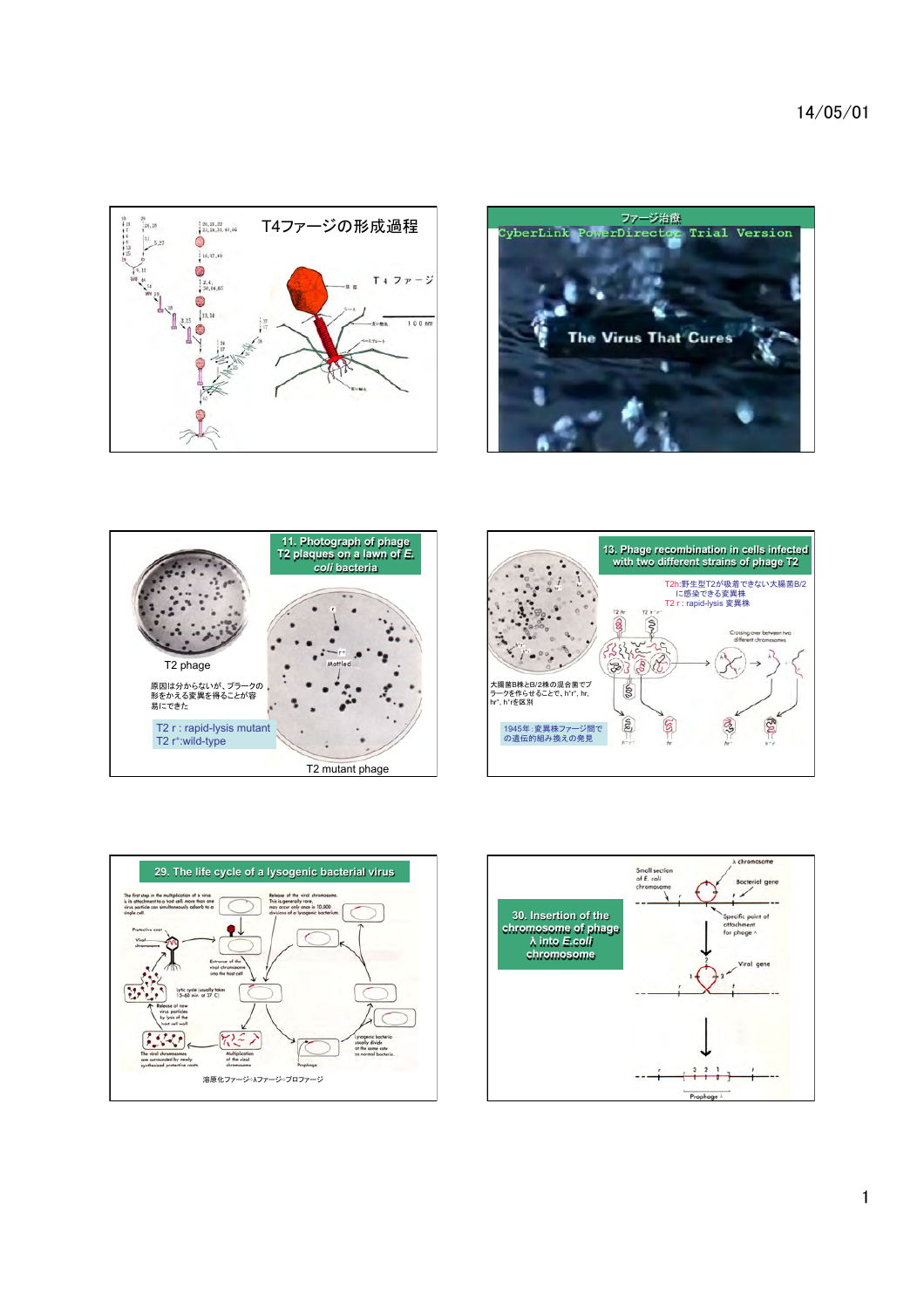









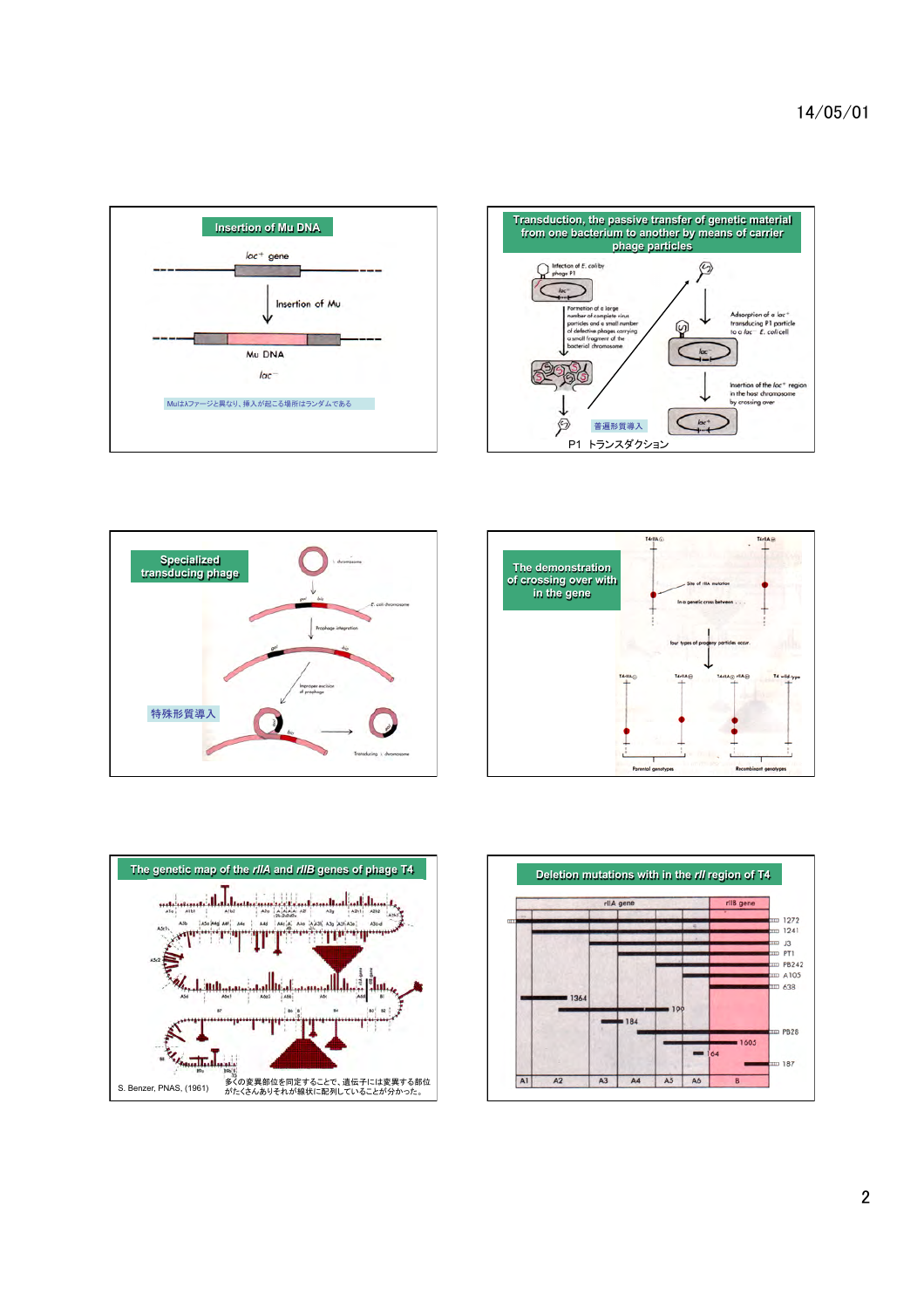14/05/01